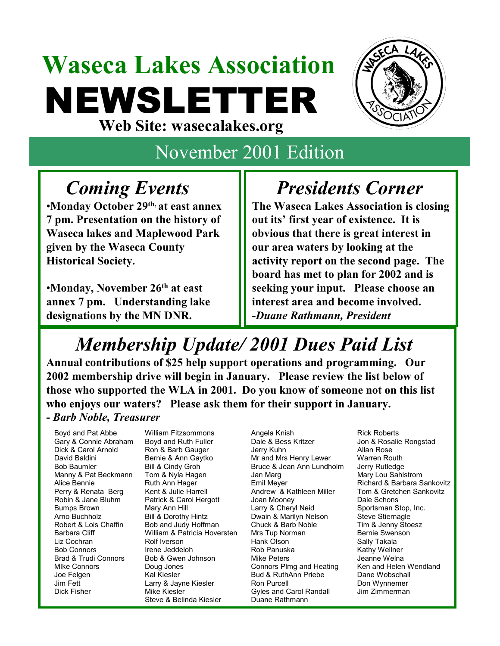# **Waseca Lakes Association** NEWSLETTER **Web Site: wasecalakes.org**



# November 2001 Edition

## *Coming Events*

•**Monday October 29th, at east annex 7 pm. Presentation on the history of Waseca lakes and Maplewood Park given by the Waseca County Historical Society.** 

•**Monday, November 26th at east annex 7 pm. Understanding lake designations by the MN DNR.**

## *Presidents Corner*

**The Waseca Lakes Association is closing out its' first year of existence. It is obvious that there is great interest in our area waters by looking at the activity report on the second page. The board has met to plan for 2002 and is seeking your input. Please choose an interest area and become involved. -***Duane Rathmann, President*

# *Membership Update/ 2001 Dues Paid List*

**Annual contributions of \$25 help support operations and programming. Our 2002 membership drive will begin in January. Please review the list below of those who supported the WLA in 2001. Do you know of someone not on this list who enjoys our waters? Please ask them for their support in January. -** *Barb Noble, Treasurer* 

Manny & Pat Beckmann Tom & Nyla Hagen Jan Marg Patrick & Carol Hergott Joan Mooney Barbara Cliff **William & Patricia Hoversten** Mrs Tup Norman Steve & Belinda Kiesler Duane Rathmann

Boyd and Pat Abbe William Fitzsommons Angela Knish Rick Roberts Gary & Connie Abraham Boyd and Ruth Fuller Dale & Bess Kritzer Jon & Rosalie Rongstad Dick & Carol Arnold Ron & Barb Gauger Jerry Kuhn Allan Rose David Baldini **Bernie & Ann Gaytko** Mr and Mrs Henry Lewer Warren Routh Bob Baumler Bill & Cindy Groh Bruce & Jean Ann Lundholm Jerry Rutledge Perry & Renata Berg Kent & Julie Harrell **Andrew & Kathleen Miller** Tom & Gretchen Sankovitz<br>
Robin & Jane Bluhm Patrick & Carol Hergott Joan Mooney Dale Schons Bumps Brown Mary Ann Hill Larry & Cheryl Neid Sportsman Stop, Inc.<br>Arno Buchholz Bill & Dorothy Hintz Dwain & Marilyn Nelson Steve Stiernagle Arno Buchholz **Bill & Dorothy Hintz** Dwain & Marilyn Nelson Steve Stiernagle **Bill & Dorothy Hintz** Dwain & Marilyn Nelson Steve Stiernagle Robert & Lois Chaffin Bob and Judy Hoffman Chuck & Barb Noble Tim & Jenny Stoesz Rob and Judy Hoffman Chuck & Barb Noble Tim & Jenny Sto<br>
William & Patricia Hoversten Mrs Tup Norman Bernie Swenson Liz Cochran Rolf Iverson Hank Olson Sally Takala Bob Connors **Irene Jeddeloh** Rob Panuska Kathy Wellner Brad & Trudi Connors Bob & Gwen Johnson Mike Peters Jeanne Welna MIke Connors Doug Jones Connors Plmg and Heating Ken and Helen Wendland Joe Felgen Kal Kiesler Bud & RuthAnn Priebe Dane Wobschall Jim Fett Larry & Jayne Kiesler Ron Purcell Don Wynnemer Dick Fisher **Mike Kiesler** Gyles and Carol Randall Jim Zimmerman

Alice Bennie **Ruth Ann Hager** Emil Meyer **Emil Meyer** Richard & Barbara Sankovitz